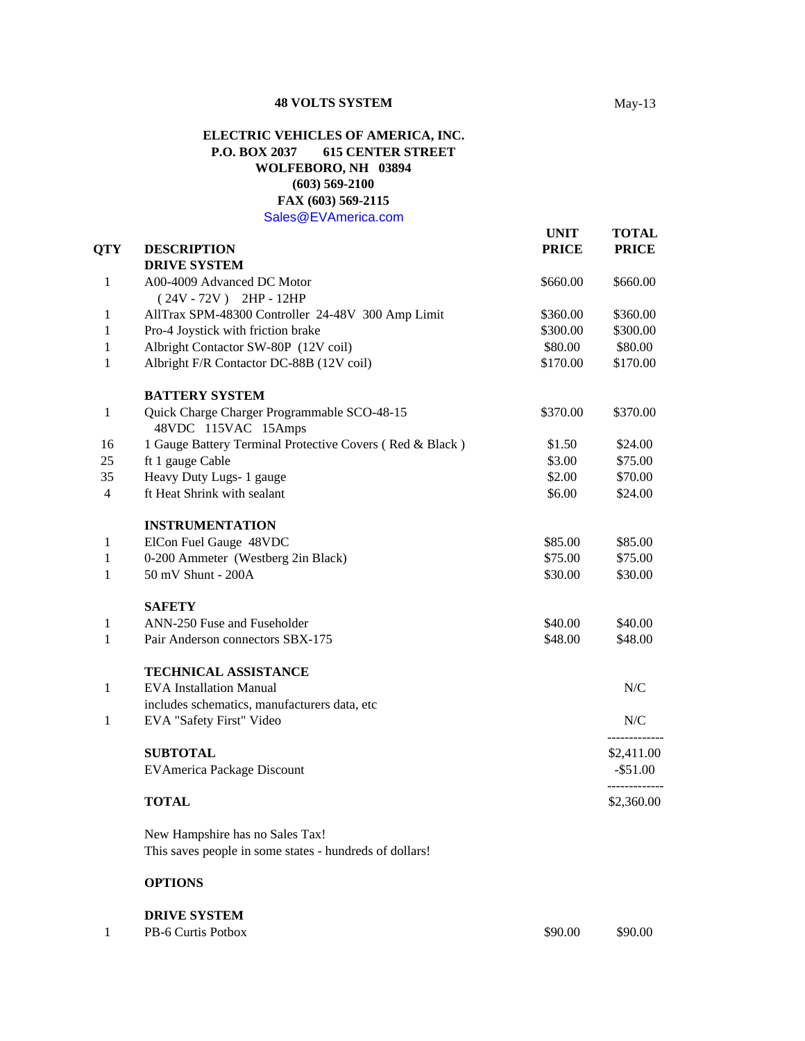## **48 VOLTS SYSTEM** May-13

## **ELECTRIC VEHICLES OF AMERICA, INC. P.O. BOX 2037 615 CENTER STREET WOLFEBORO, NH 03894 (603) 569-2100 FAX (603) 569-2115** [Sales@EVAmerica.com](mailto:Sales@EVAmerica.com)

|                |                                                                    | <b>UNIT</b>  | <b>TOTAL</b>               |
|----------------|--------------------------------------------------------------------|--------------|----------------------------|
| <b>QTY</b>     | <b>DESCRIPTION</b>                                                 | <b>PRICE</b> | <b>PRICE</b>               |
|                | <b>DRIVE SYSTEM</b>                                                |              |                            |
| 1              | A00-4009 Advanced DC Motor<br>$(24V - 72V)$ 2HP - 12HP             | \$660.00     | \$660.00                   |
| $\mathbf{1}$   | AllTrax SPM-48300 Controller 24-48V 300 Amp Limit                  | \$360.00     | \$360.00                   |
| $\mathbf{1}$   | Pro-4 Joystick with friction brake                                 | \$300.00     | \$300.00                   |
| 1              | Albright Contactor SW-80P (12V coil)                               | \$80.00      | \$80.00                    |
| $\mathbf{1}$   | Albright F/R Contactor DC-88B (12V coil)                           | \$170.00     | \$170.00                   |
|                | <b>BATTERY SYSTEM</b>                                              |              |                            |
| $\mathbf{1}$   | Quick Charge Charger Programmable SCO-48-15<br>48VDC 115VAC 15Amps | \$370.00     | \$370.00                   |
| 16             | 1 Gauge Battery Terminal Protective Covers (Red & Black)           | \$1.50       | \$24.00                    |
| 25             | ft 1 gauge Cable                                                   | \$3.00       | \$75.00                    |
| 35             | Heavy Duty Lugs- 1 gauge                                           | \$2.00       | \$70.00                    |
| $\overline{4}$ | ft Heat Shrink with sealant                                        | \$6.00       | \$24.00                    |
|                | <b>INSTRUMENTATION</b>                                             |              |                            |
| 1              | ElCon Fuel Gauge 48VDC                                             | \$85.00      | \$85.00                    |
| 1              | 0-200 Ammeter (Westberg 2in Black)                                 | \$75.00      | \$75.00                    |
| 1              | 50 mV Shunt - 200A                                                 | \$30.00      | \$30.00                    |
|                | <b>SAFETY</b>                                                      |              |                            |
| $\mathbf{1}$   | ANN-250 Fuse and Fuseholder                                        | \$40.00      | \$40.00                    |
| 1              | Pair Anderson connectors SBX-175                                   | \$48.00      | \$48.00                    |
|                | <b>TECHNICAL ASSISTANCE</b>                                        |              |                            |
| 1              | <b>EVA Installation Manual</b>                                     |              | N/C                        |
|                | includes schematics, manufacturers data, etc                       |              |                            |
| 1              | EVA "Safety First" Video                                           |              | N/C                        |
|                | <b>SUBTOTAL</b>                                                    |              | \$2,411.00                 |
|                | <b>EVAmerica Package Discount</b>                                  |              | $-$51.00$<br>------------- |
|                | <b>TOTAL</b>                                                       |              | \$2,360.00                 |
|                | New Hampshire has no Sales Tax!                                    |              |                            |
|                | This saves people in some states - hundreds of dollars!            |              |                            |
|                | <b>OPTIONS</b>                                                     |              |                            |
|                |                                                                    |              |                            |

**DRIVE SYSTEM** 1 PB-6 Curtis Potbox \$90.00 \$90.00